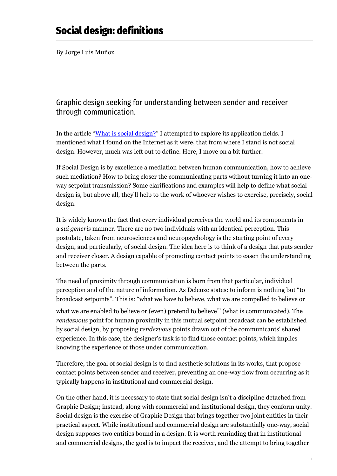By Jorge Luis Muñoz

## Graphic design seeking for understanding between sender and receiver through communication.

In the article "[What is social design?](https://foroalfa.org/articulos/what-is-social-design)" I attempted to explore its application fields. I mentioned what I found on the Internet as it were, that from where I stand is not social design. However, much was left out to define. Here, I move on a bit further.

If Social Design is by excellence a mediation between human communication, how to achieve such mediation? How to bring closer the communicating parts without turning it into an oneway setpoint transmission? Some clarifications and examples will help to define what social design is, but above all, they'll help to the work of whoever wishes to exercise, precisely, social design.

It is widely known the fact that every individual perceives the world and its components in a *sui generis* manner. There are no two individuals with an identical perception. This postulate, taken from neurosciences and neuropsychology is the starting point of every design, and particularly, of social design. The idea here is to think of a design that puts sender and receiver closer. A design capable of promoting contact points to easen the understanding between the parts.

The need of proximity through communication is born from that particular, individual perception and of the nature of information. As Deleuze states: to inform is nothing but "to broadcast setpoints". This is: "what we have to believe, what we are compelled to believe or

what we are enabled to believe or (even) pretend to believe" (what is communicated). The *rendezvous* point for human proximity in this mutual setpoint broadcast can be established by social design, by proposing *rendezvous* points drawn out of the communicants' shared experience. In this case, the designer's task is to find those contact points, which implies knowing the experience of those under communication.

Therefore, the goal of social design is to find aesthetic solutions in its works, that propose contact points between sender and receiver, preventing an one-way flow from occurring as it typically happens in institutional and commercial design.

On the other hand, it is necessary to state that social design isn't a discipline detached from Graphic Design; instead, along with commercial and institutional design, they conform unity. Social design is the exercise of Graphic Design that brings together two joint entities in their practical aspect. While institutional and commercial design are substantially one-way, social design supposes two entities bound in a design. It is worth reminding that in institutional and commercial designs, the goal is to impact the receiver, and the attempt to bring together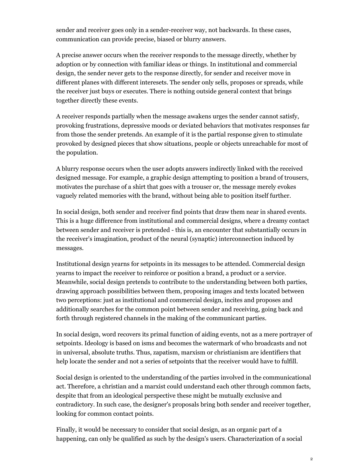sender and receiver goes only in a sender-receiver way, not backwards. In these cases, communication can provide precise, biased or blurry answers.

A precise answer occurs when the receiver responds to the message directly, whether by adoption or by connection with familiar ideas or things. In institutional and commercial design, the sender never gets to the response directly, for sender and receiver move in different planes with different interesets. The sender only sells, proposes or spreads, while the receiver just buys or executes. There is nothing outside general context that brings together directly these events.

A receiver responds partially when the message awakens urges the sender cannot satisfy, provoking frustrations, depressive moods or deviated behaviors that motivates responses far from those the sender pretends. An example of it is the partial response given to stimulate provoked by designed pieces that show situations, people or objects unreachable for most of the population.

A blurry response occurs when the user adopts answers indirectly linked with the received designed message. For example, a graphic design attempting to position a brand of trousers, motivates the purchase of a shirt that goes with a trouser or, the message merely evokes vaguely related memories with the brand, without being able to position itself further.

In social design, both sender and receiver find points that draw them near in shared events. This is a huge difference from institutional and commercial designs, where a dreamy contact between sender and receiver is pretended - this is, an encounter that substantially occurs in the receiver's imagination, product of the neural (synaptic) interconnection induced by messages.

Institutional design yearns for setpoints in its messages to be attended. Commercial design yearns to impact the receiver to reinforce or position a brand, a product or a service. Meanwhile, social design pretends to contribute to the understanding between both parties, drawing approach possibilities between them, proposing images and texts located between two perceptions: just as institutional and commercial design, incites and proposes and additionally searches for the common point between sender and receiving, going back and forth through registered channels in the making of the communicant parties.

In social design, word recovers its primal function of aiding events, not as a mere portrayer of setpoints. Ideology is based on isms and becomes the watermark of who broadcasts and not in universal, absolute truths. Thus, zapatism, marxism or christianism are identifiers that help locate the sender and not a series of setpoints that the receiver would have to fulfill.

Social design is oriented to the understanding of the parties involved in the communicational act. Therefore, a christian and a marxist could understand each other through common facts, despite that from an ideological perspective these might be mutually exclusive and contradictory. In such case, the designer's proposals bring both sender and receiver together, looking for common contact points.

Finally, it would be necessary to consider that social design, as an organic part of a happening, can only be qualified as such by the design's users. Characterization of a social